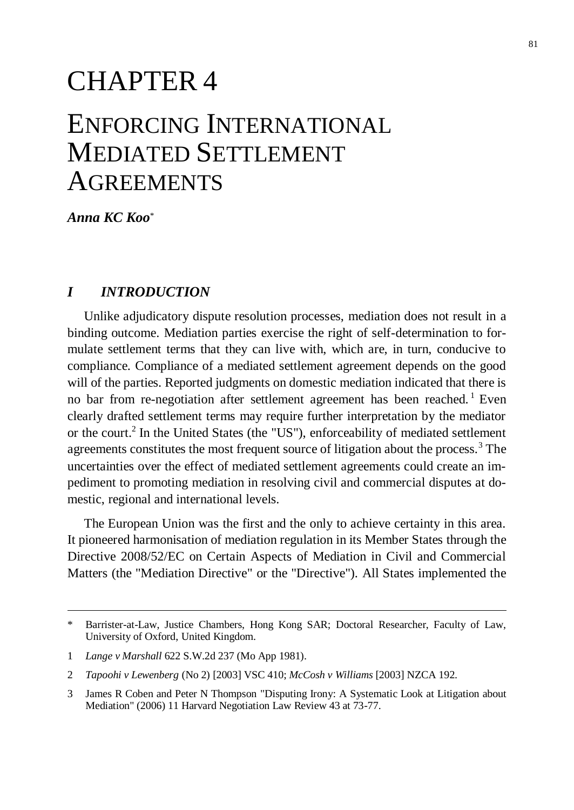# CHAPTER 4

# ENFORCING INTERNATIONAL MEDIATED SETTLEMENT **AGREEMENTS**

*Anna KC Koo*\*

## *I INTRODUCTION*

Unlike adjudicatory dispute resolution processes, mediation does not result in a binding outcome. Mediation parties exercise the right of self-determination to formulate settlement terms that they can live with, which are, in turn, conducive to compliance. Compliance of a mediated settlement agreement depends on the good will of the parties. Reported judgments on domestic mediation indicated that there is no bar from re-negotiation after settlement agreement has been reached.<sup>1</sup> Even clearly drafted settlement terms may require further interpretation by the mediator or the court.<sup>2</sup> In the United States (the "US"), enforceability of mediated settlement agreements constitutes the most frequent source of litigation about the process.<sup>3</sup> The uncertainties over the effect of mediated settlement agreements could create an impediment to promoting mediation in resolving civil and commercial disputes at domestic, regional and international levels.

The European Union was the first and the only to achieve certainty in this area. It pioneered harmonisation of mediation regulation in its Member States through the Directive 2008/52/EC on Certain Aspects of Mediation in Civil and Commercial Matters (the "Mediation Directive" or the "Directive"). All States implemented the

<sup>\*</sup> Barrister-at-Law, Justice Chambers, Hong Kong SAR; Doctoral Researcher, Faculty of Law, University of Oxford, United Kingdom.

<sup>1</sup> *Lange v Marshall* 622 S.W.2d 237 (Mo App 1981).

<sup>2</sup> *Tapoohi v Lewenberg* (No 2) [2003] VSC 410; *McCosh v Williams* [2003] NZCA 192.

<sup>3</sup> James R Coben and Peter N Thompson "Disputing Irony: A Systematic Look at Litigation about Mediation" (2006) 11 Harvard Negotiation Law Review 43 at 73-77.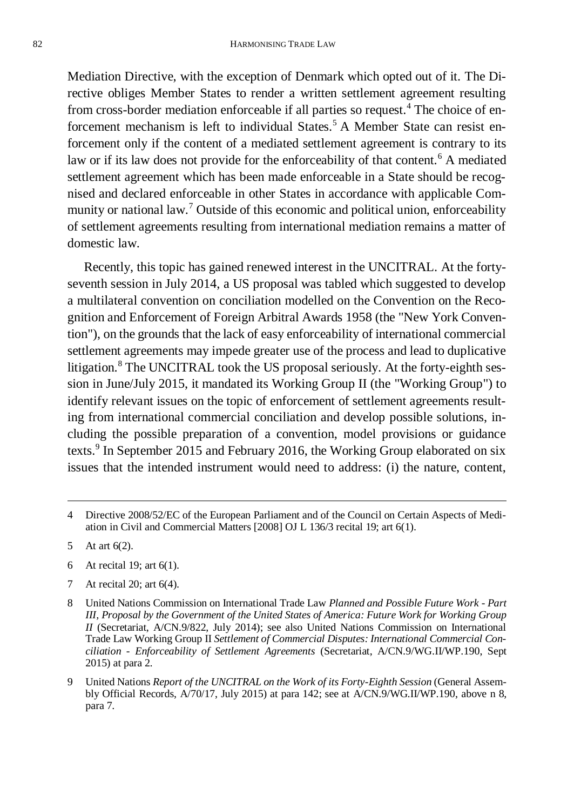Mediation Directive, with the exception of Denmark which opted out of it. The Directive obliges Member States to render a written settlement agreement resulting from cross-border mediation enforceable if all parties so request.<sup>4</sup> The choice of enforcement mechanism is left to individual States.<sup>5</sup> A Member State can resist enforcement only if the content of a mediated settlement agreement is contrary to its law or if its law does not provide for the enforceability of that content.<sup>6</sup> A mediated settlement agreement which has been made enforceable in a State should be recognised and declared enforceable in other States in accordance with applicable Community or national law.<sup>7</sup> Outside of this economic and political union, enforceability of settlement agreements resulting from international mediation remains a matter of domestic law.

Recently, this topic has gained renewed interest in the UNCITRAL. At the fortyseventh session in July 2014, a US proposal was tabled which suggested to develop a multilateral convention on conciliation modelled on the Convention on the Recognition and Enforcement of Foreign Arbitral Awards 1958 (the "New York Convention"), on the grounds that the lack of easy enforceability of international commercial settlement agreements may impede greater use of the process and lead to duplicative litigation.<sup>8</sup> The UNCITRAL took the US proposal seriously. At the forty-eighth session in June/July 2015, it mandated its Working Group II (the "Working Group") to identify relevant issues on the topic of enforcement of settlement agreements resulting from international commercial conciliation and develop possible solutions, including the possible preparation of a convention, model provisions or guidance texts.<sup>9</sup> In September 2015 and February 2016, the Working Group elaborated on six issues that the intended instrument would need to address: (i) the nature, content,

- 6 At recital 19; art 6(1).
- 7 At recital 20; art 6(4).
- 8 United Nations Commission on International Trade Law *Planned and Possible Future Work - Part III, Proposal by the Government of the United States of America: Future Work for Working Group II* (Secretariat, A/CN.9/822, July 2014); see also United Nations Commission on International Trade Law Working Group II *Settlement of Commercial Disputes: International Commercial Conciliation - Enforceability of Settlement Agreements* (Secretariat, A/CN.9/WG.II/WP.190, Sept 2015) at para 2.
- 9 United Nations *Report of the UNCITRAL on the Work of its Forty-Eighth Session* (General Assembly Official Records, A/70/17, July 2015) at para 142; see at A/CN.9/WG.II/WP.190, above n 8, para 7.

<sup>4</sup> Directive 2008/52/EC of the European Parliament and of the Council on Certain Aspects of Mediation in Civil and Commercial Matters [2008] OJ L 136/3 recital 19; art 6(1).

<sup>5</sup> At art 6(2).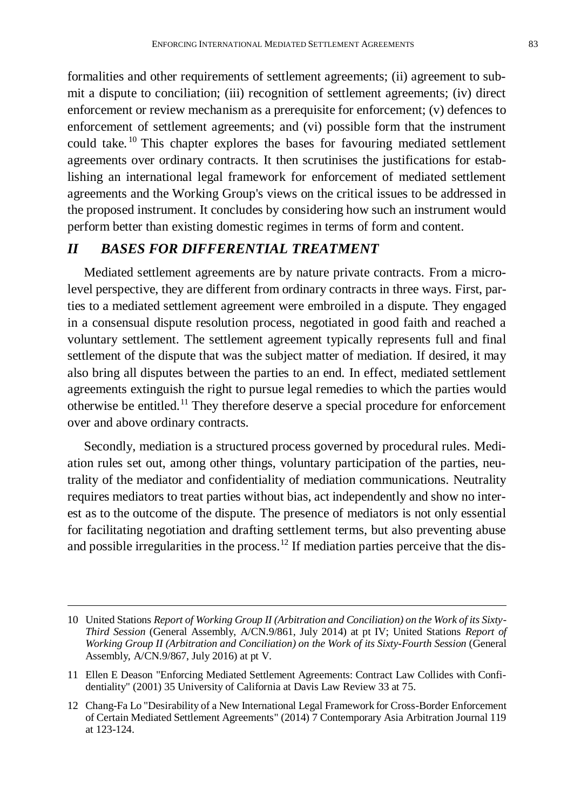formalities and other requirements of settlement agreements; (ii) agreement to submit a dispute to conciliation; (iii) recognition of settlement agreements; (iv) direct enforcement or review mechanism as a prerequisite for enforcement; (v) defences to enforcement of settlement agreements; and (vi) possible form that the instrument could take. <sup>10</sup> This chapter explores the bases for favouring mediated settlement agreements over ordinary contracts. It then scrutinises the justifications for establishing an international legal framework for enforcement of mediated settlement agreements and the Working Group's views on the critical issues to be addressed in the proposed instrument. It concludes by considering how such an instrument would perform better than existing domestic regimes in terms of form and content.

## *II BASES FOR DIFFERENTIAL TREATMENT*

Mediated settlement agreements are by nature private contracts. From a microlevel perspective, they are different from ordinary contracts in three ways. First, parties to a mediated settlement agreement were embroiled in a dispute. They engaged in a consensual dispute resolution process, negotiated in good faith and reached a voluntary settlement. The settlement agreement typically represents full and final settlement of the dispute that was the subject matter of mediation. If desired, it may also bring all disputes between the parties to an end. In effect, mediated settlement agreements extinguish the right to pursue legal remedies to which the parties would otherwise be entitled.<sup>11</sup> They therefore deserve a special procedure for enforcement over and above ordinary contracts.

Secondly, mediation is a structured process governed by procedural rules. Mediation rules set out, among other things, voluntary participation of the parties, neutrality of the mediator and confidentiality of mediation communications. Neutrality requires mediators to treat parties without bias, act independently and show no interest as to the outcome of the dispute. The presence of mediators is not only essential for facilitating negotiation and drafting settlement terms, but also preventing abuse and possible irregularities in the process.<sup>12</sup> If mediation parties perceive that the dis-

<sup>10</sup> United Stations *Report of Working Group II (Arbitration and Conciliation) on the Work of its Sixty-Third Session* (General Assembly, A/CN.9/861, July 2014) at pt IV; United Stations *Report of Working Group II (Arbitration and Conciliation) on the Work of its Sixty-Fourth Session* (General Assembly, A/CN.9/867, July 2016) at pt V.

<sup>11</sup> Ellen E Deason "Enforcing Mediated Settlement Agreements: Contract Law Collides with Confidentiality" (2001) 35 University of California at Davis Law Review 33 at 75.

<sup>12</sup> Chang-Fa Lo "Desirability of a New International Legal Framework for Cross-Border Enforcement of Certain Mediated Settlement Agreements" (2014) 7 Contemporary Asia Arbitration Journal 119 at 123-124.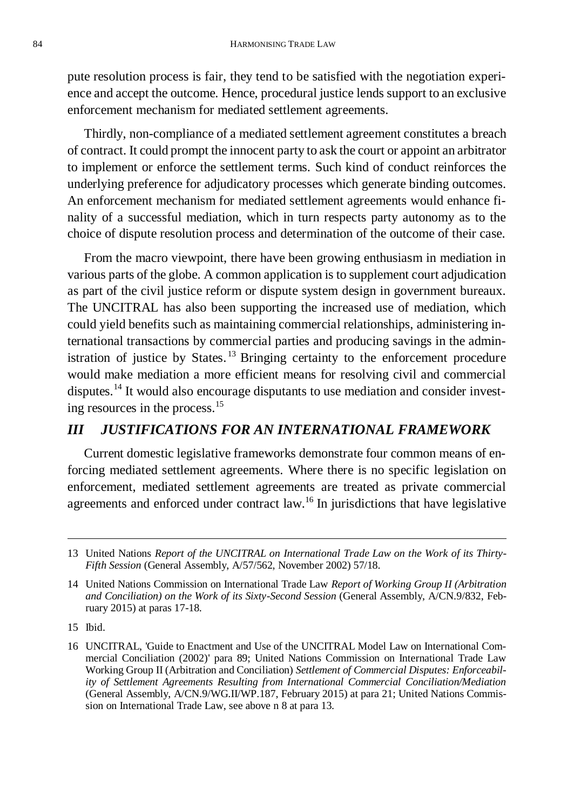pute resolution process is fair, they tend to be satisfied with the negotiation experience and accept the outcome. Hence, procedural justice lends support to an exclusive enforcement mechanism for mediated settlement agreements.

Thirdly, non-compliance of a mediated settlement agreement constitutes a breach of contract. It could prompt the innocent party to ask the court or appoint an arbitrator to implement or enforce the settlement terms. Such kind of conduct reinforces the underlying preference for adjudicatory processes which generate binding outcomes. An enforcement mechanism for mediated settlement agreements would enhance finality of a successful mediation, which in turn respects party autonomy as to the choice of dispute resolution process and determination of the outcome of their case.

From the macro viewpoint, there have been growing enthusiasm in mediation in various parts of the globe. A common application is to supplement court adjudication as part of the civil justice reform or dispute system design in government bureaux. The UNCITRAL has also been supporting the increased use of mediation, which could yield benefits such as maintaining commercial relationships, administering international transactions by commercial parties and producing savings in the administration of justice by States.<sup>13</sup> Bringing certainty to the enforcement procedure would make mediation a more efficient means for resolving civil and commercial disputes.<sup>14</sup> It would also encourage disputants to use mediation and consider investing resources in the process.<sup>15</sup>

## *III JUSTIFICATIONS FOR AN INTERNATIONAL FRAMEWORK*

Current domestic legislative frameworks demonstrate four common means of enforcing mediated settlement agreements. Where there is no specific legislation on enforcement, mediated settlement agreements are treated as private commercial agreements and enforced under contract law.<sup>16</sup> In jurisdictions that have legislative

15 Ibid.

<sup>13</sup> United Nations *Report of the UNCITRAL on International Trade Law on the Work of its Thirty-Fifth Session* (General Assembly, A/57/562, November 2002) 57/18.

<sup>14</sup> United Nations Commission on International Trade Law *Report of Working Group II (Arbitration and Conciliation) on the Work of its Sixty-Second Session* (General Assembly, A/CN.9/832, February 2015) at paras 17-18.

<sup>16</sup> UNCITRAL, 'Guide to Enactment and Use of the UNCITRAL Model Law on International Commercial Conciliation (2002)' para 89; United Nations Commission on International Trade Law Working Group II (Arbitration and Conciliation) *Settlement of Commercial Disputes: Enforceability of Settlement Agreements Resulting from International Commercial Conciliation/Mediation* (General Assembly, A/CN.9/WG.II/WP.187, February 2015) at para 21; United Nations Commission on International Trade Law, see above n 8 at para 13.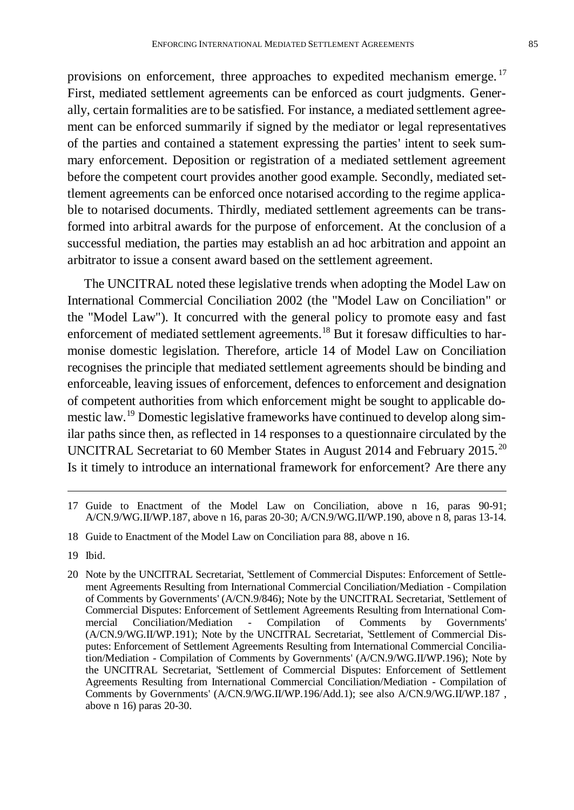provisions on enforcement, three approaches to expedited mechanism emerge.<sup>17</sup> First, mediated settlement agreements can be enforced as court judgments. Generally, certain formalities are to be satisfied. For instance, a mediated settlement agreement can be enforced summarily if signed by the mediator or legal representatives of the parties and contained a statement expressing the parties' intent to seek summary enforcement. Deposition or registration of a mediated settlement agreement before the competent court provides another good example. Secondly, mediated settlement agreements can be enforced once notarised according to the regime applicable to notarised documents. Thirdly, mediated settlement agreements can be transformed into arbitral awards for the purpose of enforcement. At the conclusion of a successful mediation, the parties may establish an ad hoc arbitration and appoint an arbitrator to issue a consent award based on the settlement agreement.

The UNCITRAL noted these legislative trends when adopting the Model Law on International Commercial Conciliation 2002 (the "Model Law on Conciliation" or the "Model Law"). It concurred with the general policy to promote easy and fast enforcement of mediated settlement agreements.<sup>18</sup> But it foresaw difficulties to harmonise domestic legislation. Therefore, article 14 of Model Law on Conciliation recognises the principle that mediated settlement agreements should be binding and enforceable, leaving issues of enforcement, defences to enforcement and designation of competent authorities from which enforcement might be sought to applicable domestic law.<sup>19</sup> Domestic legislative frameworks have continued to develop along similar paths since then, as reflected in 14 responses to a questionnaire circulated by the UNCITRAL Secretariat to 60 Member States in August 2014 and February 2015.<sup>20</sup> Is it timely to introduce an international framework for enforcement? Are there any

<sup>17</sup> Guide to Enactment of the Model Law on Conciliation, above n 16, paras 90-91; A/CN.9/WG.II/WP.187, above n 16, paras 20-30; A/CN.9/WG.II/WP.190, above n 8, paras 13-14.

<sup>18</sup> Guide to Enactment of the Model Law on Conciliation para 88, above n 16.

<sup>19</sup> Ibid.

<sup>20</sup> Note by the UNCITRAL Secretariat, 'Settlement of Commercial Disputes: Enforcement of Settlement Agreements Resulting from International Commercial Conciliation/Mediation - Compilation of Comments by Governments' (A/CN.9/846); Note by the UNCITRAL Secretariat, 'Settlement of Commercial Disputes: Enforcement of Settlement Agreements Resulting from International Commercial Conciliation/Mediation - Compilation of Comments by Governments' (A/CN.9/WG.II/WP.191); Note by the UNCITRAL Secretariat, 'Settlement of Commercial Disputes: Enforcement of Settlement Agreements Resulting from International Commercial Conciliation/Mediation - Compilation of Comments by Governments' (A/CN.9/WG.II/WP.196); Note by the UNCITRAL Secretariat, 'Settlement of Commercial Disputes: Enforcement of Settlement Agreements Resulting from International Commercial Conciliation/Mediation - Compilation of Comments by Governments' (A/CN.9/WG.II/WP.196/Add.1); see also A/CN.9/WG.II/WP.187 , above n 16) paras 20-30.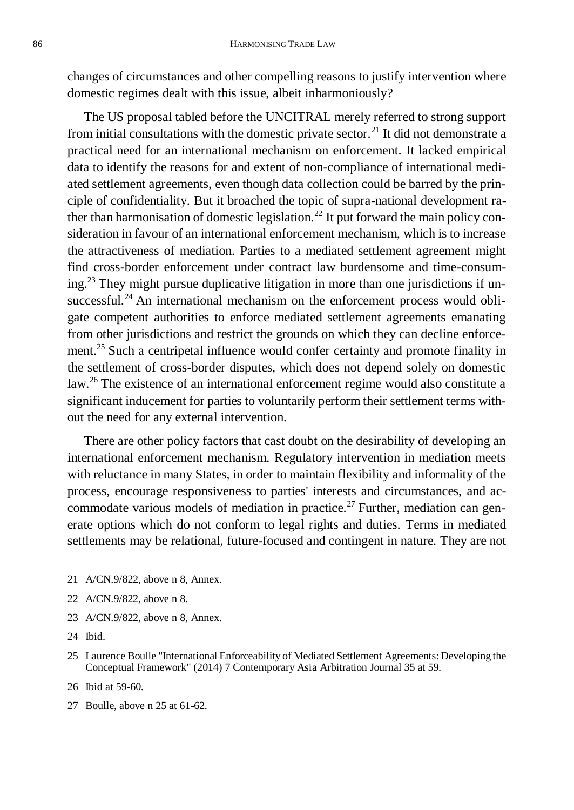changes of circumstances and other compelling reasons to justify intervention where domestic regimes dealt with this issue, albeit inharmoniously?

The US proposal tabled before the UNCITRAL merely referred to strong support from initial consultations with the domestic private sector.<sup>21</sup> It did not demonstrate a practical need for an international mechanism on enforcement. It lacked empirical data to identify the reasons for and extent of non-compliance of international mediated settlement agreements, even though data collection could be barred by the principle of confidentiality. But it broached the topic of supra-national development rather than harmonisation of domestic legislation.<sup>22</sup> It put forward the main policy consideration in favour of an international enforcement mechanism, which is to increase the attractiveness of mediation. Parties to a mediated settlement agreement might find cross-border enforcement under contract law burdensome and time-consum $ing.<sup>23</sup>$  They might pursue duplicative litigation in more than one jurisdictions if unsuccessful. $^{24}$  An international mechanism on the enforcement process would obligate competent authorities to enforce mediated settlement agreements emanating from other jurisdictions and restrict the grounds on which they can decline enforcement.<sup>25</sup> Such a centripetal influence would confer certainty and promote finality in the settlement of cross-border disputes, which does not depend solely on domestic law.<sup>26</sup> The existence of an international enforcement regime would also constitute a significant inducement for parties to voluntarily perform their settlement terms without the need for any external intervention.

There are other policy factors that cast doubt on the desirability of developing an international enforcement mechanism. Regulatory intervention in mediation meets with reluctance in many States, in order to maintain flexibility and informality of the process, encourage responsiveness to parties' interests and circumstances, and accommodate various models of mediation in practice.<sup>27</sup> Further, mediation can generate options which do not conform to legal rights and duties. Terms in mediated settlements may be relational, future-focused and contingent in nature. They are not

- 23 A/CN.9/822, above n 8, Annex.
- 24 Ibid.

- 26 Ibid at 59-60.
- 27 Boulle, above n 25 at 61-62.

<sup>21</sup> A/CN.9/822, above n 8, Annex.

<sup>22</sup> A/CN.9/822, above n 8.

<sup>25</sup> Laurence Boulle "International Enforceability of Mediated Settlement Agreements: Developing the Conceptual Framework" (2014) 7 Contemporary Asia Arbitration Journal 35 at 59.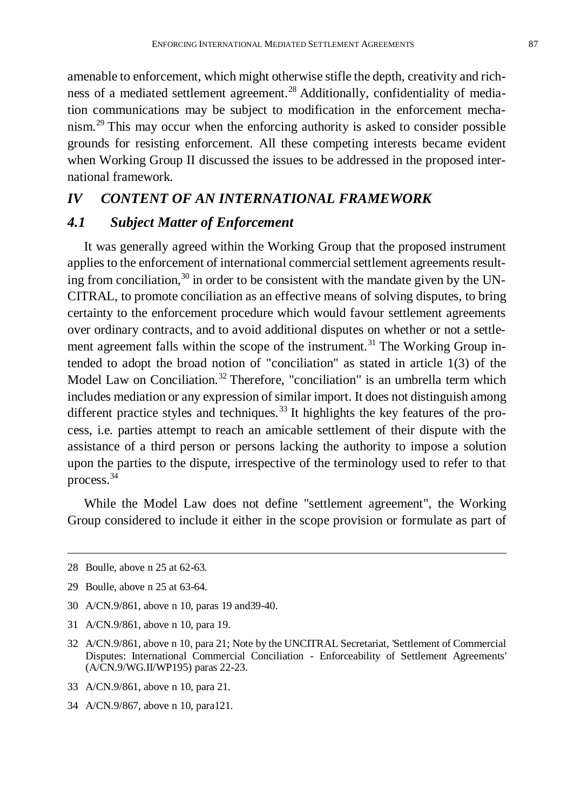amenable to enforcement, which might otherwise stifle the depth, creativity and richness of a mediated settlement agreement.<sup>28</sup> Additionally, confidentiality of mediation communications may be subject to modification in the enforcement mechanism.<sup>29</sup> This may occur when the enforcing authority is asked to consider possible grounds for resisting enforcement. All these competing interests became evident when Working Group II discussed the issues to be addressed in the proposed international framework.

## *IV CONTENT OF AN INTERNATIONAL FRAMEWORK*

## *4.1 Subject Matter of Enforcement*

It was generally agreed within the Working Group that the proposed instrument applies to the enforcement of international commercial settlement agreements resulting from conciliation, $30$  in order to be consistent with the mandate given by the UN-CITRAL, to promote conciliation as an effective means of solving disputes, to bring certainty to the enforcement procedure which would favour settlement agreements over ordinary contracts, and to avoid additional disputes on whether or not a settlement agreement falls within the scope of the instrument.<sup>31</sup> The Working Group intended to adopt the broad notion of "conciliation" as stated in article 1(3) of the Model Law on Conciliation.<sup>32</sup> Therefore, "conciliation" is an umbrella term which includes mediation or any expression of similar import. It does not distinguish among different practice styles and techniques.<sup>33</sup> It highlights the key features of the process, i.e. parties attempt to reach an amicable settlement of their dispute with the assistance of a third person or persons lacking the authority to impose a solution upon the parties to the dispute, irrespective of the terminology used to refer to that process.<sup>34</sup>

While the Model Law does not define "settlement agreement", the Working Group considered to include it either in the scope provision or formulate as part of

- 30 A/CN.9/861, above n 10, paras 19 and39-40.
- 31 A/CN.9/861, above n 10, para 19.
- 32 A/CN.9/861, above n 10, para 21; Note by the UNCITRAL Secretariat, 'Settlement of Commercial Disputes: International Commercial Conciliation - Enforceability of Settlement Agreements' (A/CN.9/WG.II/WP195) paras 22-23.
- 33 A/CN.9/861, above n 10, para 21.
- 34 A/CN.9/867, above n 10, para121.

<sup>28</sup> Boulle, above n 25 at 62-63.

<sup>29</sup> Boulle, above n 25 at 63-64.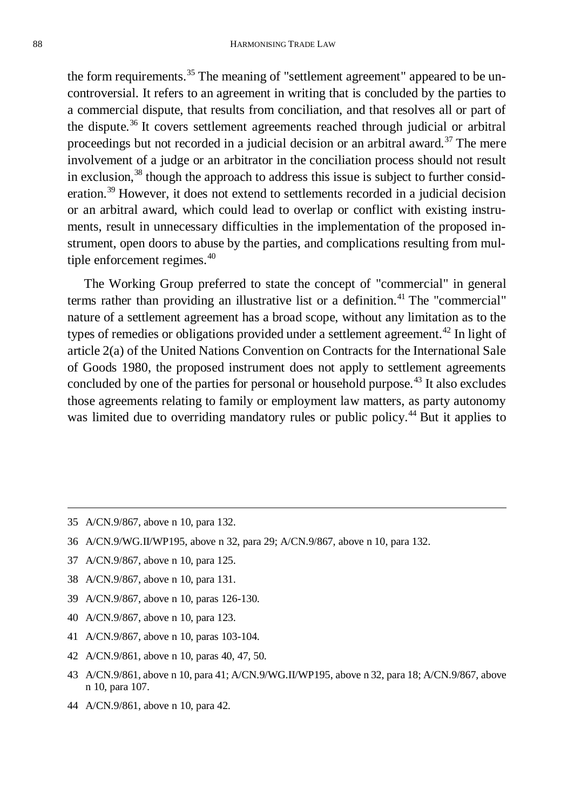the form requirements.<sup>35</sup> The meaning of "settlement agreement" appeared to be uncontroversial. It refers to an agreement in writing that is concluded by the parties to a commercial dispute, that results from conciliation, and that resolves all or part of the dispute.<sup>36</sup> It covers settlement agreements reached through judicial or arbitral proceedings but not recorded in a judicial decision or an arbitral award.<sup>37</sup> The mere involvement of a judge or an arbitrator in the conciliation process should not result in exclusion,<sup>38</sup> though the approach to address this issue is subject to further consideration.<sup>39</sup> However, it does not extend to settlements recorded in a judicial decision or an arbitral award, which could lead to overlap or conflict with existing instruments, result in unnecessary difficulties in the implementation of the proposed instrument, open doors to abuse by the parties, and complications resulting from multiple enforcement regimes.<sup>40</sup>

The Working Group preferred to state the concept of "commercial" in general terms rather than providing an illustrative list or a definition.<sup>41</sup> The "commercial" nature of a settlement agreement has a broad scope, without any limitation as to the types of remedies or obligations provided under a settlement agreement.<sup>42</sup> In light of article 2(a) of the United Nations Convention on Contracts for the International Sale of Goods 1980, the proposed instrument does not apply to settlement agreements concluded by one of the parties for personal or household purpose.<sup>43</sup> It also excludes those agreements relating to family or employment law matters, as party autonomy was limited due to overriding mandatory rules or public policy.<sup>44</sup> But it applies to

- 37 A/CN.9/867, above n 10, para 125.
- 38 A/CN.9/867, above n 10, para 131.
- 39 A/CN.9/867, above n 10, paras 126-130.
- 40 A/CN.9/867, above n 10, para 123.
- 41 A/CN.9/867, above n 10, paras 103-104.
- 42 A/CN.9/861, above n 10, paras 40, 47, 50.
- 43 A/CN.9/861, above n 10, para 41; A/CN.9/WG.II/WP195, above n 32, para 18; A/CN.9/867, above n 10, para 107.
- 44 A/CN.9/861, above n 10, para 42.

<sup>35</sup> A/CN.9/867, above n 10, para 132.

<sup>36</sup> A/CN.9/WG.II/WP195, above n 32, para 29; A/CN.9/867, above n 10, para 132.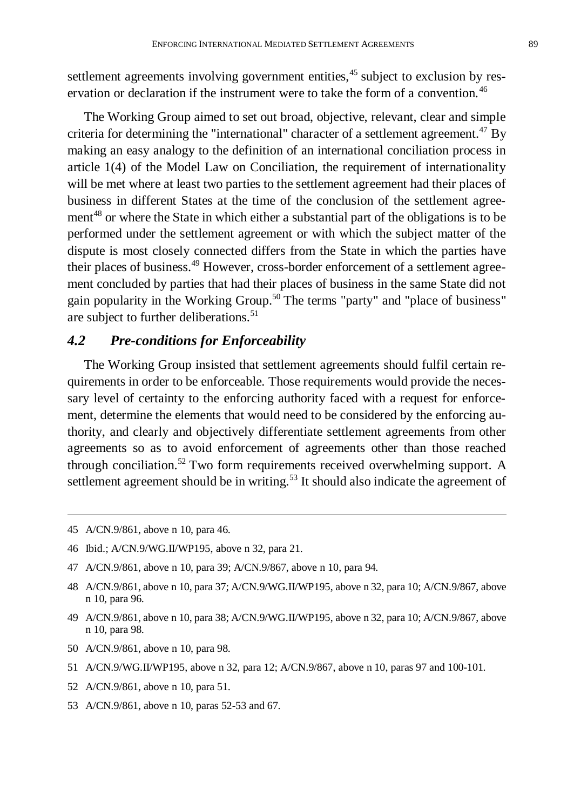settlement agreements involving government entities,<sup>45</sup> subject to exclusion by reservation or declaration if the instrument were to take the form of a convention.<sup>46</sup>

The Working Group aimed to set out broad, objective, relevant, clear and simple criteria for determining the "international" character of a settlement agreement.<sup>47</sup> By making an easy analogy to the definition of an international conciliation process in article 1(4) of the Model Law on Conciliation, the requirement of internationality will be met where at least two parties to the settlement agreement had their places of business in different States at the time of the conclusion of the settlement agreement<sup>48</sup> or where the State in which either a substantial part of the obligations is to be performed under the settlement agreement or with which the subject matter of the dispute is most closely connected differs from the State in which the parties have their places of business.<sup>49</sup> However, cross-border enforcement of a settlement agreement concluded by parties that had their places of business in the same State did not gain popularity in the Working Group.<sup>50</sup> The terms "party" and "place of business" are subject to further deliberations.<sup>51</sup>

## *4.2 Pre-conditions for Enforceability*

The Working Group insisted that settlement agreements should fulfil certain requirements in order to be enforceable. Those requirements would provide the necessary level of certainty to the enforcing authority faced with a request for enforcement, determine the elements that would need to be considered by the enforcing authority, and clearly and objectively differentiate settlement agreements from other agreements so as to avoid enforcement of agreements other than those reached through conciliation.<sup>52</sup> Two form requirements received overwhelming support. A settlement agreement should be in writing.<sup>53</sup> It should also indicate the agreement of

- 46 Ibid.; A/CN.9/WG.II/WP195, above n 32, para 21.
- 47 A/CN.9/861, above n 10, para 39; A/CN.9/867, above n 10, para 94.
- 48 A/CN.9/861, above n 10, para 37; A/CN.9/WG.II/WP195, above n 32, para 10; A/CN.9/867, above n 10, para 96.
- 49 A/CN.9/861, above n 10, para 38; A/CN.9/WG.II/WP195, above n 32, para 10; A/CN.9/867, above n 10, para 98.
- 50 A/CN.9/861, above n 10, para 98.
- 51 A/CN.9/WG.II/WP195, above n 32, para 12; A/CN.9/867, above n 10, paras 97 and 100-101.
- 52 A/CN.9/861, above n 10, para 51.
- 53 A/CN.9/861, above n 10, paras 52-53 and 67.

<sup>45</sup> A/CN.9/861, above n 10, para 46.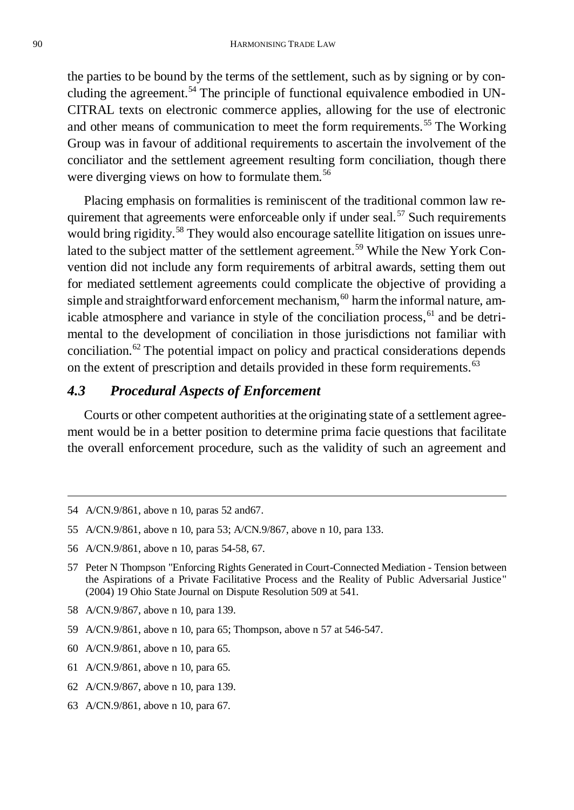the parties to be bound by the terms of the settlement, such as by signing or by concluding the agreement.<sup>54</sup> The principle of functional equivalence embodied in UN-CITRAL texts on electronic commerce applies, allowing for the use of electronic and other means of communication to meet the form requirements.<sup>55</sup> The Working Group was in favour of additional requirements to ascertain the involvement of the conciliator and the settlement agreement resulting form conciliation, though there were diverging views on how to formulate them.<sup>56</sup>

Placing emphasis on formalities is reminiscent of the traditional common law requirement that agreements were enforceable only if under seal.<sup>57</sup> Such requirements would bring rigidity.<sup>58</sup> They would also encourage satellite litigation on issues unrelated to the subject matter of the settlement agreement.<sup>59</sup> While the New York Convention did not include any form requirements of arbitral awards, setting them out for mediated settlement agreements could complicate the objective of providing a simple and straightforward enforcement mechanism, $60$  harm the informal nature, amicable atmosphere and variance in style of the conciliation process,<sup>61</sup> and be detrimental to the development of conciliation in those jurisdictions not familiar with conciliation.<sup>62</sup> The potential impact on policy and practical considerations depends on the extent of prescription and details provided in these form requirements.<sup>63</sup>

## *4.3 Procedural Aspects of Enforcement*

Courts or other competent authorities at the originating state of a settlement agreement would be in a better position to determine prima facie questions that facilitate the overall enforcement procedure, such as the validity of such an agreement and

- 58 A/CN.9/867, above n 10, para 139.
- 59 A/CN.9/861, above n 10, para 65; Thompson, above n 57 at 546-547.
- 60 A/CN.9/861, above n 10, para 65.
- 61 A/CN.9/861, above n 10, para 65.
- 62 A/CN.9/867, above n 10, para 139.
- 63 A/CN.9/861, above n 10, para 67.

<sup>54</sup> A/CN.9/861, above n 10, paras 52 and67.

<sup>55</sup> A/CN.9/861, above n 10, para 53; A/CN.9/867, above n 10, para 133.

<sup>56</sup> A/CN.9/861, above n 10, paras 54-58, 67.

<sup>57</sup> Peter N Thompson "Enforcing Rights Generated in Court-Connected Mediation - Tension between the Aspirations of a Private Facilitative Process and the Reality of Public Adversarial Justice" (2004) 19 Ohio State Journal on Dispute Resolution 509 at 541.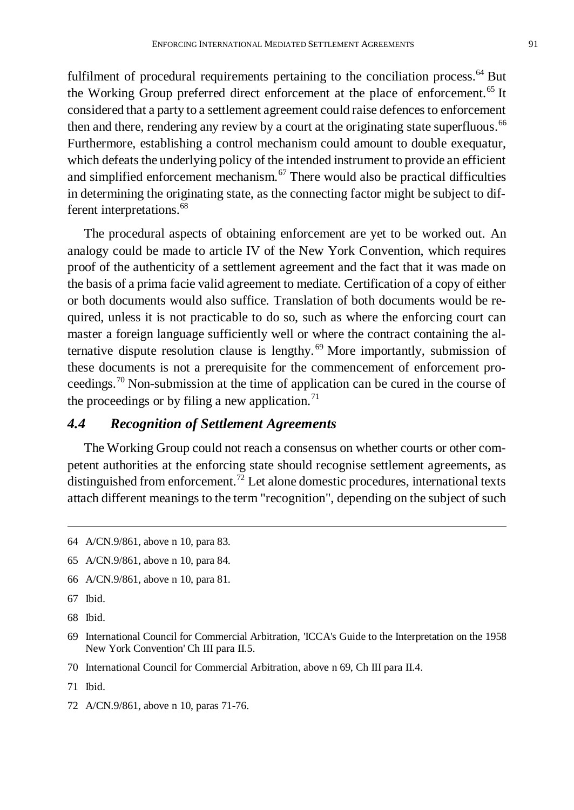fulfilment of procedural requirements pertaining to the conciliation process.<sup>64</sup> But the Working Group preferred direct enforcement at the place of enforcement.<sup>65</sup> It considered that a party to a settlement agreement could raise defences to enforcement then and there, rendering any review by a court at the originating state superfluous.<sup>66</sup> Furthermore, establishing a control mechanism could amount to double exequatur, which defeats the underlying policy of the intended instrument to provide an efficient and simplified enforcement mechanism. $67$  There would also be practical difficulties in determining the originating state, as the connecting factor might be subject to different interpretations.<sup>68</sup>

The procedural aspects of obtaining enforcement are yet to be worked out. An analogy could be made to article IV of the New York Convention, which requires proof of the authenticity of a settlement agreement and the fact that it was made on the basis of a prima facie valid agreement to mediate. Certification of a copy of either or both documents would also suffice. Translation of both documents would be required, unless it is not practicable to do so, such as where the enforcing court can master a foreign language sufficiently well or where the contract containing the alternative dispute resolution clause is lengthy. <sup>69</sup> More importantly, submission of these documents is not a prerequisite for the commencement of enforcement proceedings.<sup>70</sup> Non-submission at the time of application can be cured in the course of the proceedings or by filing a new application.<sup>71</sup>

#### *4.4 Recognition of Settlement Agreements*

The Working Group could not reach a consensus on whether courts or other competent authorities at the enforcing state should recognise settlement agreements, as distinguished from enforcement.<sup>72</sup> Let alone domestic procedures, international texts attach different meanings to the term "recognition", depending on the subject of such

- 66 A/CN.9/861, above n 10, para 81.
- 67 Ibid.
- 68 Ibid.

- 70 International Council for Commercial Arbitration, above n 69, Ch III para II.4.
- 71 Ibid.
- 72 A/CN.9/861, above n 10, paras 71-76.

<sup>64</sup> A/CN.9/861, above n 10, para 83.

<sup>65</sup> A/CN.9/861, above n 10, para 84.

<sup>69</sup> International Council for Commercial Arbitration, 'ICCA's Guide to the Interpretation on the 1958 New York Convention' Ch III para II.5.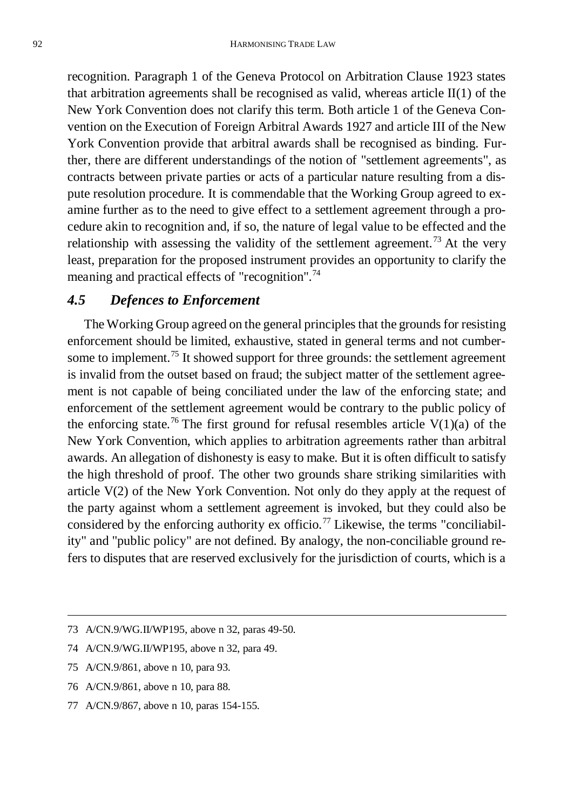recognition. Paragraph 1 of the Geneva Protocol on Arbitration Clause 1923 states that arbitration agreements shall be recognised as valid, whereas article  $II(1)$  of the New York Convention does not clarify this term. Both article 1 of the Geneva Convention on the Execution of Foreign Arbitral Awards 1927 and article III of the New York Convention provide that arbitral awards shall be recognised as binding. Further, there are different understandings of the notion of "settlement agreements", as contracts between private parties or acts of a particular nature resulting from a dispute resolution procedure. It is commendable that the Working Group agreed to examine further as to the need to give effect to a settlement agreement through a procedure akin to recognition and, if so, the nature of legal value to be effected and the relationship with assessing the validity of the settlement agreement.<sup>73</sup> At the very least, preparation for the proposed instrument provides an opportunity to clarify the meaning and practical effects of "recognition".<sup>74</sup>

## *4.5 Defences to Enforcement*

The Working Group agreed on the general principles that the grounds for resisting enforcement should be limited, exhaustive, stated in general terms and not cumbersome to implement.<sup>75</sup> It showed support for three grounds: the settlement agreement is invalid from the outset based on fraud; the subject matter of the settlement agreement is not capable of being conciliated under the law of the enforcing state; and enforcement of the settlement agreement would be contrary to the public policy of the enforcing state.<sup>76</sup> The first ground for refusal resembles article  $V(1)(a)$  of the New York Convention, which applies to arbitration agreements rather than arbitral awards. An allegation of dishonesty is easy to make. But it is often difficult to satisfy the high threshold of proof. The other two grounds share striking similarities with article V(2) of the New York Convention. Not only do they apply at the request of the party against whom a settlement agreement is invoked, but they could also be considered by the enforcing authority ex officio.<sup>77</sup> Likewise, the terms "conciliability" and "public policy" are not defined. By analogy, the non-conciliable ground refers to disputes that are reserved exclusively for the jurisdiction of courts, which is a

- 76 A/CN.9/861, above n 10, para 88.
- 77 A/CN.9/867, above n 10, paras 154-155.

<sup>73</sup> A/CN.9/WG.II/WP195, above n 32, paras 49-50.

<sup>74</sup> A/CN.9/WG.II/WP195, above n 32, para 49.

<sup>75</sup> A/CN.9/861, above n 10, para 93.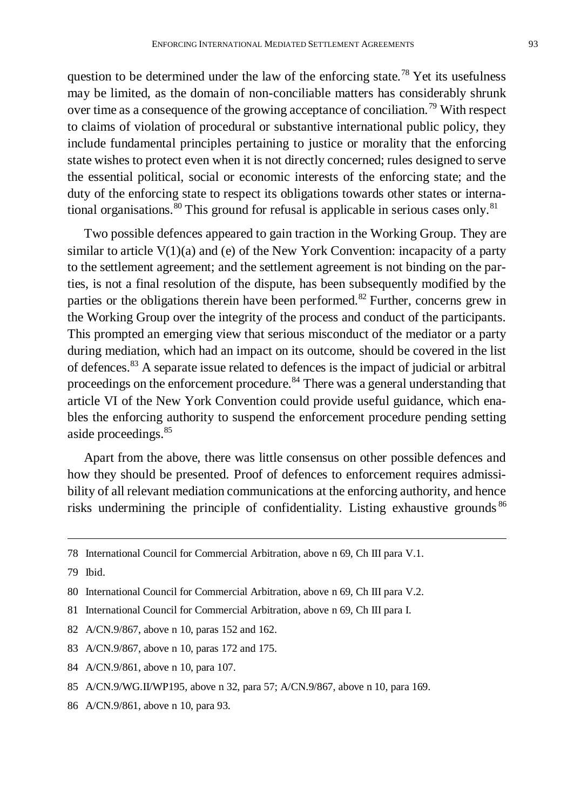question to be determined under the law of the enforcing state.<sup>78</sup> Yet its usefulness may be limited, as the domain of non-conciliable matters has considerably shrunk over time as a consequence of the growing acceptance of conciliation.<sup>79</sup> With respect to claims of violation of procedural or substantive international public policy, they include fundamental principles pertaining to justice or morality that the enforcing state wishes to protect even when it is not directly concerned; rules designed to serve the essential political, social or economic interests of the enforcing state; and the duty of the enforcing state to respect its obligations towards other states or international organisations.<sup>80</sup> This ground for refusal is applicable in serious cases only.<sup>81</sup>

Two possible defences appeared to gain traction in the Working Group. They are similar to article  $V(1)(a)$  and (e) of the New York Convention: incapacity of a party to the settlement agreement; and the settlement agreement is not binding on the parties, is not a final resolution of the dispute, has been subsequently modified by the parties or the obligations therein have been performed.<sup>82</sup> Further, concerns grew in the Working Group over the integrity of the process and conduct of the participants. This prompted an emerging view that serious misconduct of the mediator or a party during mediation, which had an impact on its outcome, should be covered in the list of defences.<sup>83</sup> A separate issue related to defences is the impact of judicial or arbitral proceedings on the enforcement procedure.<sup>84</sup> There was a general understanding that article VI of the New York Convention could provide useful guidance, which enables the enforcing authority to suspend the enforcement procedure pending setting aside proceedings.<sup>85</sup>

Apart from the above, there was little consensus on other possible defences and how they should be presented. Proof of defences to enforcement requires admissibility of all relevant mediation communications at the enforcing authority, and hence risks undermining the principle of confidentiality. Listing exhaustive grounds <sup>86</sup>

- 82 A/CN.9/867, above n 10, paras 152 and 162.
- 83 A/CN.9/867, above n 10, paras 172 and 175.
- 84 A/CN.9/861, above n 10, para 107.
- 85 A/CN.9/WG.II/WP195, above n 32, para 57; A/CN.9/867, above n 10, para 169.
- 86 A/CN.9/861, above n 10, para 93.

<sup>78</sup> International Council for Commercial Arbitration, above n 69, Ch III para V.1.

<sup>79</sup> Ibid.

<sup>80</sup> International Council for Commercial Arbitration, above n 69, Ch III para V.2.

<sup>81</sup> International Council for Commercial Arbitration, above n 69, Ch III para I.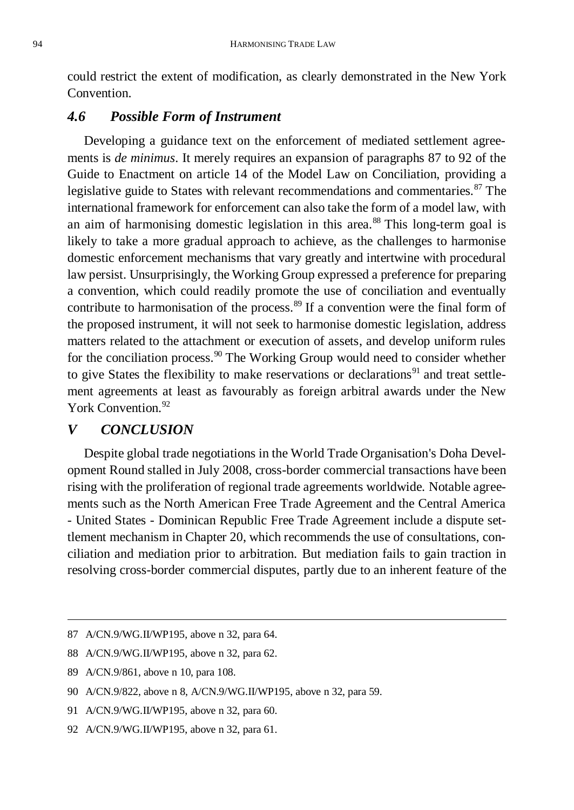could restrict the extent of modification, as clearly demonstrated in the New York Convention.

#### *4.6 Possible Form of Instrument*

Developing a guidance text on the enforcement of mediated settlement agreements is *de minimus*. It merely requires an expansion of paragraphs 87 to 92 of the Guide to Enactment on article 14 of the Model Law on Conciliation, providing a legislative guide to States with relevant recommendations and commentaries.<sup>87</sup> The international framework for enforcement can also take the form of a model law, with an aim of harmonising domestic legislation in this area.<sup>88</sup> This long-term goal is likely to take a more gradual approach to achieve, as the challenges to harmonise domestic enforcement mechanisms that vary greatly and intertwine with procedural law persist. Unsurprisingly, the Working Group expressed a preference for preparing a convention, which could readily promote the use of conciliation and eventually contribute to harmonisation of the process.<sup>89</sup> If a convention were the final form of the proposed instrument, it will not seek to harmonise domestic legislation, address matters related to the attachment or execution of assets, and develop uniform rules for the conciliation process.<sup>90</sup> The Working Group would need to consider whether to give States the flexibility to make reservations or declarations<sup>91</sup> and treat settlement agreements at least as favourably as foreign arbitral awards under the New York Convention<sup>92</sup>

#### *V CONCLUSION*

Despite global trade negotiations in the World Trade Organisation's Doha Development Round stalled in July 2008, cross-border commercial transactions have been rising with the proliferation of regional trade agreements worldwide. Notable agreements such as the North American Free Trade Agreement and the Central America - United States - Dominican Republic Free Trade Agreement include a dispute settlement mechanism in Chapter 20, which recommends the use of consultations, conciliation and mediation prior to arbitration. But mediation fails to gain traction in resolving cross-border commercial disputes, partly due to an inherent feature of the

<sup>87</sup> A/CN.9/WG.II/WP195, above n 32, para 64.

<sup>88</sup> A/CN.9/WG.II/WP195, above n 32, para 62.

<sup>89</sup> A/CN.9/861, above n 10, para 108.

<sup>90</sup> A/CN.9/822, above n 8, A/CN.9/WG.II/WP195, above n 32, para 59.

<sup>91</sup> A/CN.9/WG.II/WP195, above n 32, para 60.

<sup>92</sup> A/CN.9/WG.II/WP195, above n 32, para 61.